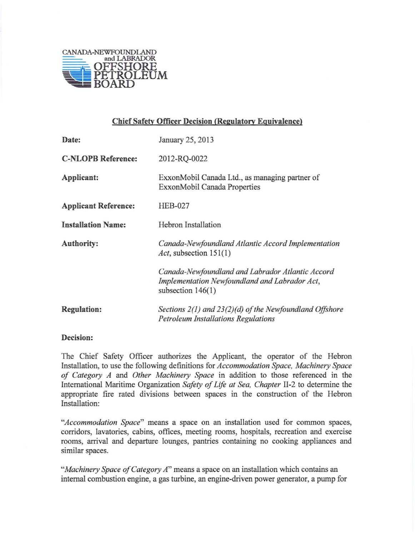

## **Chief Safety Officer Decision (Regulatory Equivalence)**

| Date:                       | January 25, 2013                                                                                                         |
|-----------------------------|--------------------------------------------------------------------------------------------------------------------------|
| <b>C-NLOPB Reference:</b>   | 2012-RQ-0022                                                                                                             |
| Applicant:                  | ExxonMobil Canada Ltd., as managing partner of<br>ExxonMobil Canada Properties                                           |
| <b>Applicant Reference:</b> | <b>HEB-027</b>                                                                                                           |
| <b>Installation Name:</b>   | Hebron Installation                                                                                                      |
| <b>Authority:</b>           | Canada-Newfoundland Atlantic Accord Implementation<br>Act, subsection $151(1)$                                           |
|                             | Canada-Newfoundland and Labrador Atlantic Accord<br>Implementation Newfoundland and Labrador Act,<br>subsection $146(1)$ |
| <b>Regulation:</b>          | Sections 2(1) and 23(2)(d) of the Newfoundland Offshore<br><b>Petroleum Installations Regulations</b>                    |

## **Decision:**

The Chief Safety Officer authorizes the Applicant, the operator of the Hebron Installation, to use the following definitions for *Accommodation Space, Machinery Space of Category A* and *Other Machinery Space* in addition to those referenced in the International Maritime Organization *Safety of Life at Sea, Chapter* 1I-2 to determine the appropriate fire rated divisions between spaces in the construction of the Hebron Installation:

*"Accommodation Space"* means a space on an installation used for common spaces, corridors, lavatories, cabins, offices, meeting rooms, hospitals, recreation and exercise rooms, arrival and departure lounges, pantries containing no cooking appliances and similar spaces.

*"Machinery Space of Category A"* means a space on an installation which contains an internal combustion engine, a gas turbine, an engine-driven power generator, a pump for